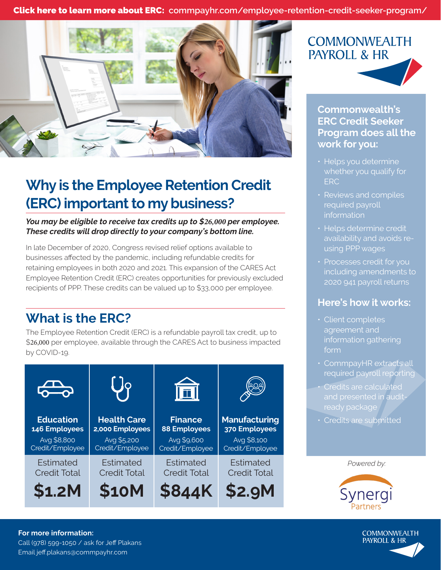Click here to learn more about ERC: **[commpayhr.com/employee-retention-credit-seeker-program/](https://www.commpayhr.com/employee-retention-credit-seeker-program/)**



# **Why is the Employee Retention Credit (ERC) important to my business?**

*You may be eligible to receive tax credits up to \$26,000 per employee. These credits will drop directly to your company's bottom line.*

In late December of 2020, Congress revised relief options available to businesses affected by the pandemic, including refundable credits for retaining employees in both 2020 and 2021. This expansion of the CARES Act Employee Retention Credit (ERC) creates opportunities for previously excluded recipients of PPP. These credits can be valued up to \$33,000 per employee.

# **What is the ERC?**

The Employee Retention Credit (ERC) is a refundable payroll tax credit, up to \$26,000 per employee, available through the CARES Act to business impacted by COVID-19.

| <b>SHOP</b>         | 79                  | 面                   |                      |
|---------------------|---------------------|---------------------|----------------------|
| <b>Education</b>    | <b>Health Care</b>  | <b>Finance</b>      | <b>Manufacturing</b> |
| 146 Employees       | 2,000 Employees     | <b>88 Employees</b> | 370 Employees        |
| Avg \$8,800         | Avg \$5,200         | Avg \$9,600         | Avg \$8,100          |
| Credit/Employee     | Credit/Employee     | Credit/Employee     | Credit/Employee      |
| Estimated           | Estimated           | <b>Estimated</b>    | Estimated            |
| <b>Credit Total</b> | <b>Credit Total</b> | <b>Credit Total</b> | <b>Credit Total</b>  |
| \$1.2M              | <b>\$10M</b>        | <b>\$844K</b>       | \$2.9M               |

**\$844K \$2.9M**

# **COMMONWEALTH PAYROLL & HR**

### **Commonwealth's ERC Credit Seeker Program does all the work for you:**

- Helps you determine whether you qualify for ERC
- Reviews and compiles required payroll information
- Helps determine credit availability and avoids reusing PPP wages
- Processes credit for you including amendments to 2020 941 payroll returns

### **Here's how it works:**

- Client completes agreement and information gathering form
- CommpayHR extracts all required payroll reporting
- Credits are calculated and presented in audit-
- Credits are submitted

*Powered by:*





#### **For more information:**

Call (978) 599-1050 / ask for Jeff Plakans Email jeff.plakans@commpayhr.com